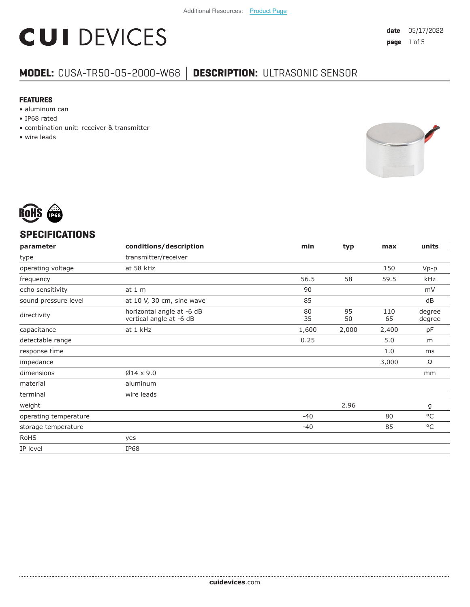# **CUI DEVICES**

### **MODEL:** CUSA-TR50-05-2000-W68 **│ DESCRIPTION:** ULTRASONIC SENSOR

#### **FEATURES**

- aluminum can
- IP68 rated
- combination unit: receiver & transmitter
- wire leads





#### **SPECIFICATIONS**

| conditions/description                               | min      | typ      | max       | units            |
|------------------------------------------------------|----------|----------|-----------|------------------|
| transmitter/receiver                                 |          |          |           |                  |
| at 58 kHz                                            |          |          | 150       | $Vp-p$           |
|                                                      | 56.5     | 58       | 59.5      | kHz              |
| at 1 m                                               | 90       |          |           | mV               |
| at 10 V, 30 cm, sine wave                            | 85       |          |           | dB               |
| horizontal angle at -6 dB<br>vertical angle at -6 dB | 80<br>35 | 95<br>50 | 110<br>65 | degree<br>degree |
| at 1 kHz                                             | 1,600    | 2,000    | 2,400     | pF               |
|                                                      | 0.25     |          | 5.0       | m                |
|                                                      |          |          | 1.0       | ms               |
|                                                      |          |          | 3,000     | Ω                |
| $Ø14 \times 9.0$                                     |          |          |           | mm               |
| aluminum                                             |          |          |           |                  |
| wire leads                                           |          |          |           |                  |
|                                                      |          | 2.96     |           | g                |
|                                                      | $-40$    |          | 80        | $^{\circ}$ C     |
|                                                      | $-40$    |          | 85        | $^{\circ}$ C     |
| yes                                                  |          |          |           |                  |
| <b>IP68</b>                                          |          |          |           |                  |
|                                                      |          |          |           |                  |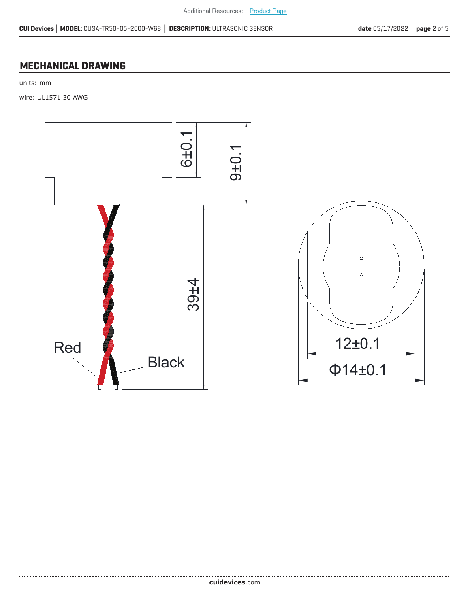#### **MECHANICAL DRAWING**

units: mm

wire: UL1571 30 AWG

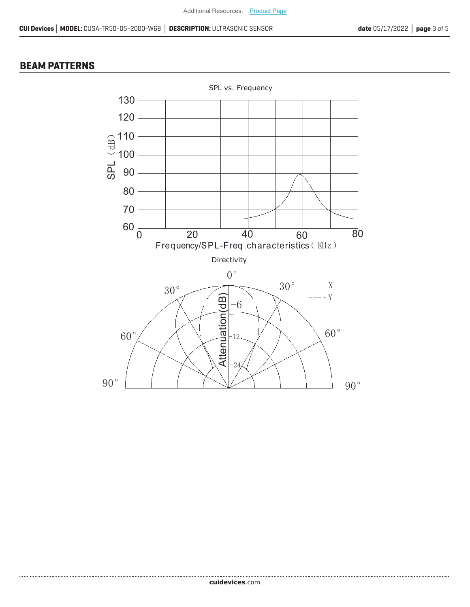#### **BEAM PATTERNS**

......................

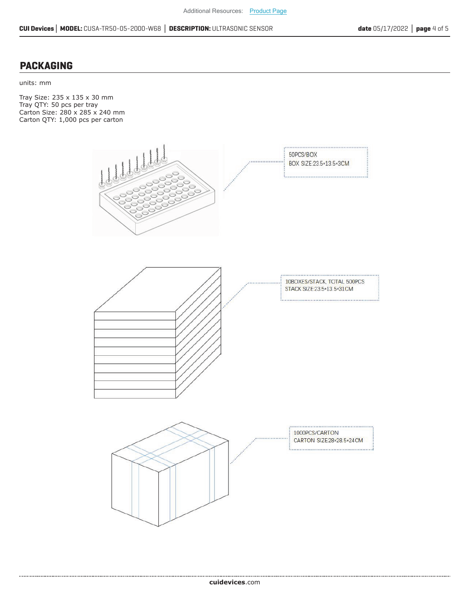#### **PACKAGING**

units: mm

Tray Size: 235 x 135 x 30 mm Tray QTY: 50 pcs per tray Carton Size: 280 x 285 x 240 mm Carton QTY: 1,000 pcs per carton